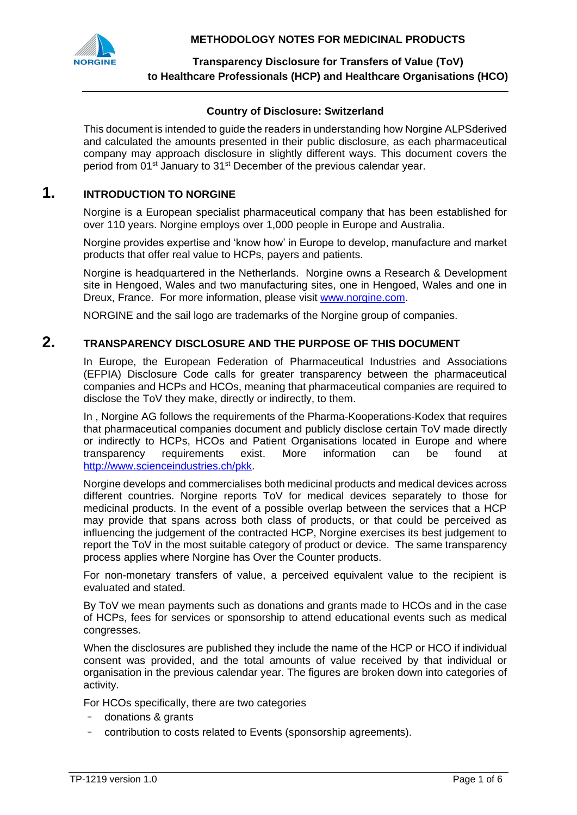**METHODOLOGY NOTES FOR MEDICINAL PRODUCTS**



**Transparency Disclosure for Transfers of Value (ToV) to Healthcare Professionals (HCP) and Healthcare Organisations (HCO)**

#### **Country of Disclosure: Switzerland**

This document is intended to guide the readers in understanding how Norgine ALPSderived and calculated the amounts presented in their public disclosure, as each pharmaceutical company may approach disclosure in slightly different ways. This document covers the period from 01st January to 31st December of the previous calendar year.

# **1. INTRODUCTION TO NORGINE**

Norgine is a European specialist pharmaceutical company that has been established for over 110 years. Norgine employs over 1,000 people in Europe and Australia.

Norgine provides expertise and 'know how' in Europe to develop, manufacture and market products that offer real value to HCPs, payers and patients.

Norgine is headquartered in the Netherlands. Norgine owns a Research & Development site in Hengoed, Wales and two manufacturing sites, one in Hengoed, Wales and one in Dreux, France. For more information, please visit [www.norgine.com.](http://www.norgine.com/)

NORGINE and the sail logo are trademarks of the Norgine group of companies.

### **2. TRANSPARENCY DISCLOSURE AND THE PURPOSE OF THIS DOCUMENT**

In Europe, the European Federation of Pharmaceutical Industries and Associations (EFPIA) Disclosure Code calls for greater transparency between the pharmaceutical companies and HCPs and HCOs, meaning that pharmaceutical companies are required to disclose the ToV they make, directly or indirectly, to them.

In , Norgine AG follows the requirements of the Pharma-Kooperations-Kodex that requires that pharmaceutical companies document and publicly disclose certain ToV made directly or indirectly to HCPs, HCOs and Patient Organisations located in Europe and where transparency requirements exist. More information can be found at [http://www.scienceindustries.ch/pkk.](http://www.scienceindustries.ch/pkk)

Norgine develops and commercialises both medicinal products and medical devices across different countries. Norgine reports ToV for medical devices separately to those for medicinal products. In the event of a possible overlap between the services that a HCP may provide that spans across both class of products, or that could be perceived as influencing the judgement of the contracted HCP, Norgine exercises its best judgement to report the ToV in the most suitable category of product or device. The same transparency process applies where Norgine has Over the Counter products.

For non-monetary transfers of value, a perceived equivalent value to the recipient is evaluated and stated.

By ToV we mean payments such as donations and grants made to HCOs and in the case of HCPs, fees for services or sponsorship to attend educational events such as medical congresses.

When the disclosures are published they include the name of the HCP or HCO if individual consent was provided, and the total amounts of value received by that individual or organisation in the previous calendar year. The figures are broken down into categories of activity.

For HCOs specifically, there are two categories

- donations & grants
- contribution to costs related to Events (sponsorship agreements).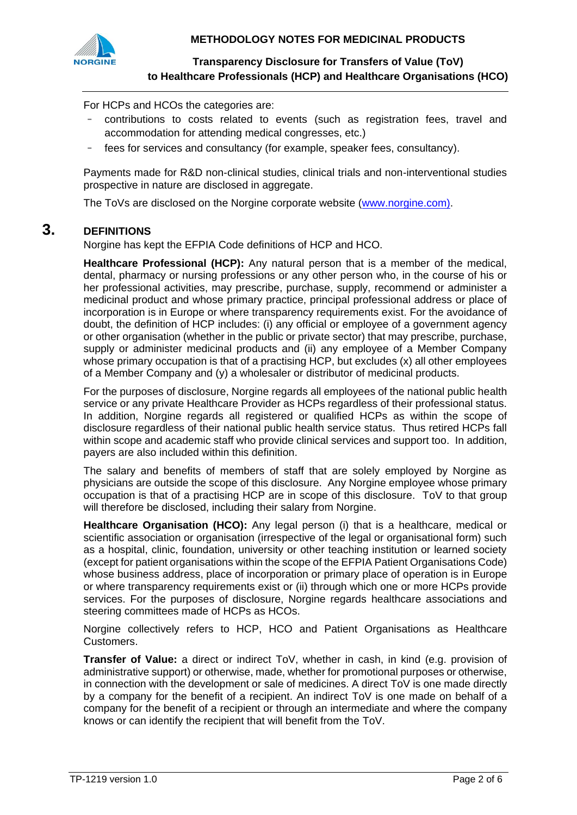

For HCPs and HCOs the categories are:

- contributions to costs related to events (such as registration fees, travel and accommodation for attending medical congresses, etc.)
- fees for services and consultancy (for example, speaker fees, consultancy).

Payments made for R&D non-clinical studies, clinical trials and non-interventional studies prospective in nature are disclosed in aggregate.

The ToVs are disclosed on the Norgine corporate website [\(www.norgine.com\)](http://www.norgine.com/).

### **3. DEFINITIONS**

Norgine has kept the EFPIA Code definitions of HCP and HCO.

**Healthcare Professional (HCP):** Any natural person that is a member of the medical, dental, pharmacy or nursing professions or any other person who, in the course of his or her professional activities, may prescribe, purchase, supply, recommend or administer a medicinal product and whose primary practice, principal professional address or place of incorporation is in Europe or where transparency requirements exist. For the avoidance of doubt, the definition of HCP includes: (i) any official or employee of a government agency or other organisation (whether in the public or private sector) that may prescribe, purchase, supply or administer medicinal products and (ii) any employee of a Member Company whose primary occupation is that of a practising HCP, but excludes (x) all other employees of a Member Company and (y) a wholesaler or distributor of medicinal products.

For the purposes of disclosure, Norgine regards all employees of the national public health service or any private Healthcare Provider as HCPs regardless of their professional status. In addition, Norgine regards all registered or qualified HCPs as within the scope of disclosure regardless of their national public health service status. Thus retired HCPs fall within scope and academic staff who provide clinical services and support too. In addition, payers are also included within this definition.

The salary and benefits of members of staff that are solely employed by Norgine as physicians are outside the scope of this disclosure. Any Norgine employee whose primary occupation is that of a practising HCP are in scope of this disclosure. ToV to that group will therefore be disclosed, including their salary from Norgine.

**Healthcare Organisation (HCO):** Any legal person (i) that is a healthcare, medical or scientific association or organisation (irrespective of the legal or organisational form) such as a hospital, clinic, foundation, university or other teaching institution or learned society (except for patient organisations within the scope of the EFPIA Patient Organisations Code) whose business address, place of incorporation or primary place of operation is in Europe or where transparency requirements exist or (ii) through which one or more HCPs provide services. For the purposes of disclosure, Norgine regards healthcare associations and steering committees made of HCPs as HCOs.

Norgine collectively refers to HCP, HCO and Patient Organisations as Healthcare Customers.

**Transfer of Value:** a direct or indirect ToV, whether in cash, in kind (e.g. provision of administrative support) or otherwise, made, whether for promotional purposes or otherwise, in connection with the development or sale of medicines. A direct ToV is one made directly by a company for the benefit of a recipient. An indirect ToV is one made on behalf of a company for the benefit of a recipient or through an intermediate and where the company knows or can identify the recipient that will benefit from the ToV.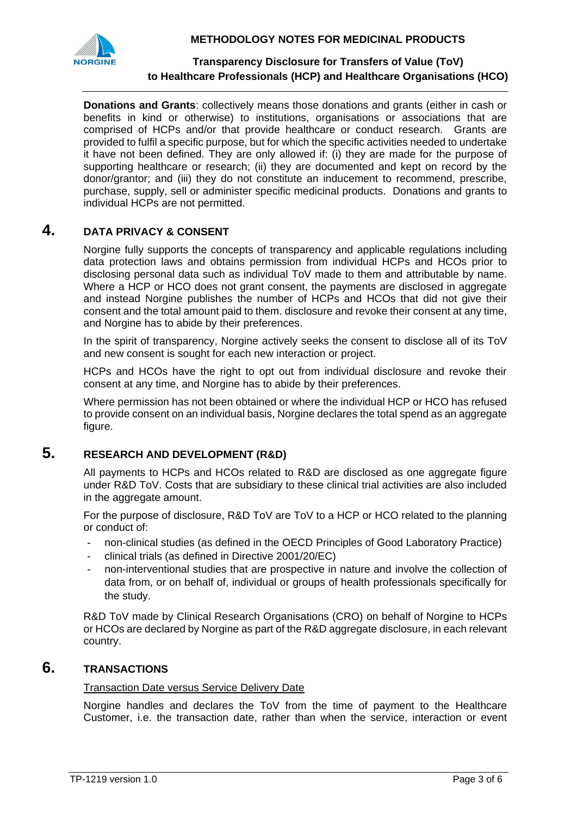



**Donations and Grants**: collectively means those donations and grants (either in cash or benefits in kind or otherwise) to institutions, organisations or associations that are comprised of HCPs and/or that provide healthcare or conduct research. Grants are provided to fulfil a specific purpose, but for which the specific activities needed to undertake it have not been defined. They are only allowed if: (i) they are made for the purpose of supporting healthcare or research; (ii) they are documented and kept on record by the donor/grantor; and (iii) they do not constitute an inducement to recommend, prescribe, purchase, supply, sell or administer specific medicinal products. Donations and grants to individual HCPs are not permitted.

# **4. DATA PRIVACY & CONSENT**

Norgine fully supports the concepts of transparency and applicable regulations including data protection laws and obtains permission from individual HCPs and HCOs prior to disclosing personal data such as individual ToV made to them and attributable by name. Where a HCP or HCO does not grant consent, the payments are disclosed in aggregate and instead Norgine publishes the number of HCPs and HCOs that did not give their consent and the total amount paid to them. disclosure and revoke their consent at any time, and Norgine has to abide by their preferences.

In the spirit of transparency, Norgine actively seeks the consent to disclose all of its ToV and new consent is sought for each new interaction or project.

HCPs and HCOs have the right to opt out from individual disclosure and revoke their consent at any time, and Norgine has to abide by their preferences.

Where permission has not been obtained or where the individual HCP or HCO has refused to provide consent on an individual basis, Norgine declares the total spend as an aggregate figure.

# **5. RESEARCH AND DEVELOPMENT (R&D)**

All payments to HCPs and HCOs related to R&D are disclosed as one aggregate figure under R&D ToV. Costs that are subsidiary to these clinical trial activities are also included in the aggregate amount.

For the purpose of disclosure, R&D ToV are ToV to a HCP or HCO related to the planning or conduct of:

- non-clinical studies (as defined in the OECD Principles of Good Laboratory Practice)
- clinical trials (as defined in Directive 2001/20/EC)
- non-interventional studies that are prospective in nature and involve the collection of data from, or on behalf of, individual or groups of health professionals specifically for the study.

R&D ToV made by Clinical Research Organisations (CRO) on behalf of Norgine to HCPs or HCOs are declared by Norgine as part of the R&D aggregate disclosure, in each relevant country.

# **6. TRANSACTIONS**

#### Transaction Date versus Service Delivery Date

Norgine handles and declares the ToV from the time of payment to the Healthcare Customer, i.e. the transaction date, rather than when the service, interaction or event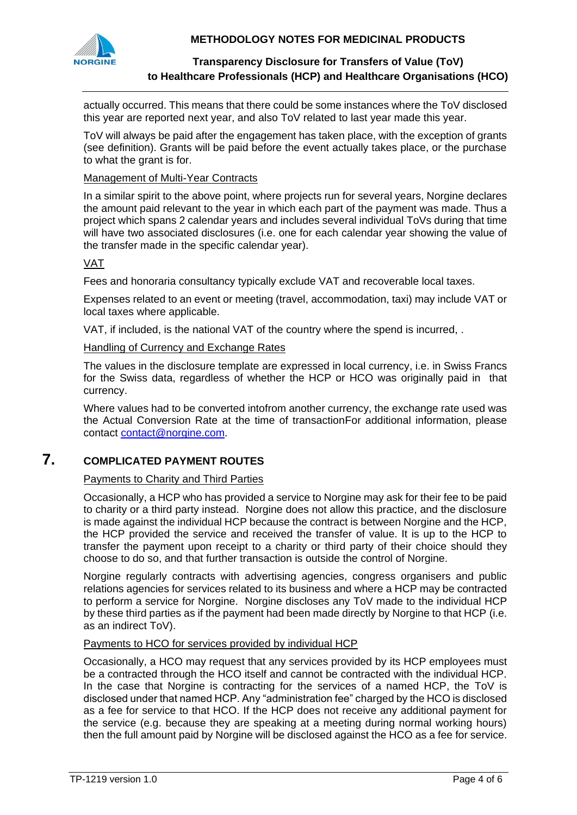



actually occurred. This means that there could be some instances where the ToV disclosed this year are reported next year, and also ToV related to last year made this year.

ToV will always be paid after the engagement has taken place, with the exception of grants (see definition). Grants will be paid before the event actually takes place, or the purchase to what the grant is for.

#### Management of Multi-Year Contracts

In a similar spirit to the above point, where projects run for several years, Norgine declares the amount paid relevant to the year in which each part of the payment was made. Thus a project which spans 2 calendar years and includes several individual ToVs during that time will have two associated disclosures (i.e. one for each calendar year showing the value of the transfer made in the specific calendar year).

#### VAT

Fees and honoraria consultancy typically exclude VAT and recoverable local taxes.

Expenses related to an event or meeting (travel, accommodation, taxi) may include VAT or local taxes where applicable.

VAT, if included, is the national VAT of the country where the spend is incurred, .

#### Handling of Currency and Exchange Rates

The values in the disclosure template are expressed in local currency, i.e. in Swiss Francs for the Swiss data, regardless of whether the HCP or HCO was originally paid in that currency.

Where values had to be converted intofrom another currency, the exchange rate used was the Actual Conversion Rate at the time of transactionFor additional information, please contact [contact@norgine.com.](mailto:contact@norgine.com)

## **7. COMPLICATED PAYMENT ROUTES**

### Payments to Charity and Third Parties

Occasionally, a HCP who has provided a service to Norgine may ask for their fee to be paid to charity or a third party instead. Norgine does not allow this practice, and the disclosure is made against the individual HCP because the contract is between Norgine and the HCP, the HCP provided the service and received the transfer of value. It is up to the HCP to transfer the payment upon receipt to a charity or third party of their choice should they choose to do so, and that further transaction is outside the control of Norgine.

Norgine regularly contracts with advertising agencies, congress organisers and public relations agencies for services related to its business and where a HCP may be contracted to perform a service for Norgine. Norgine discloses any ToV made to the individual HCP by these third parties as if the payment had been made directly by Norgine to that HCP (i.e. as an indirect ToV).

#### Payments to HCO for services provided by individual HCP

Occasionally, a HCO may request that any services provided by its HCP employees must be a contracted through the HCO itself and cannot be contracted with the individual HCP. In the case that Norgine is contracting for the services of a named HCP, the ToV is disclosed under that named HCP. Any "administration fee" charged by the HCO is disclosed as a fee for service to that HCO. If the HCP does not receive any additional payment for the service (e.g. because they are speaking at a meeting during normal working hours) then the full amount paid by Norgine will be disclosed against the HCO as a fee for service.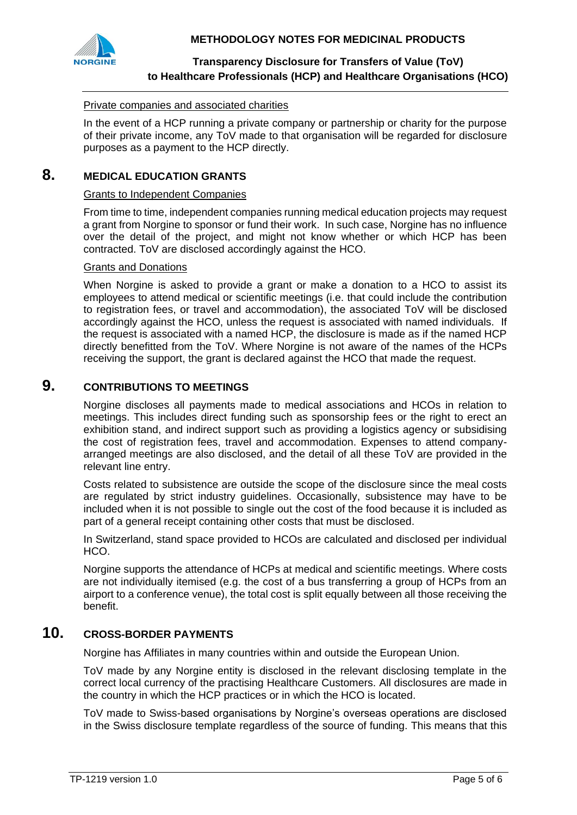



#### Private companies and associated charities

In the event of a HCP running a private company or partnership or charity for the purpose of their private income, any ToV made to that organisation will be regarded for disclosure purposes as a payment to the HCP directly.

## **8. MEDICAL EDUCATION GRANTS**

#### Grants to Independent Companies

From time to time, independent companies running medical education projects may request a grant from Norgine to sponsor or fund their work. In such case, Norgine has no influence over the detail of the project, and might not know whether or which HCP has been contracted. ToV are disclosed accordingly against the HCO.

#### Grants and Donations

When Norgine is asked to provide a grant or make a donation to a HCO to assist its employees to attend medical or scientific meetings (i.e. that could include the contribution to registration fees, or travel and accommodation), the associated ToV will be disclosed accordingly against the HCO, unless the request is associated with named individuals. If the request is associated with a named HCP, the disclosure is made as if the named HCP directly benefitted from the ToV. Where Norgine is not aware of the names of the HCPs receiving the support, the grant is declared against the HCO that made the request.

## **9. CONTRIBUTIONS TO MEETINGS**

Norgine discloses all payments made to medical associations and HCOs in relation to meetings. This includes direct funding such as sponsorship fees or the right to erect an exhibition stand, and indirect support such as providing a logistics agency or subsidising the cost of registration fees, travel and accommodation. Expenses to attend companyarranged meetings are also disclosed, and the detail of all these ToV are provided in the relevant line entry.

Costs related to subsistence are outside the scope of the disclosure since the meal costs are regulated by strict industry guidelines. Occasionally, subsistence may have to be included when it is not possible to single out the cost of the food because it is included as part of a general receipt containing other costs that must be disclosed.

In Switzerland, stand space provided to HCOs are calculated and disclosed per individual HCO.

Norgine supports the attendance of HCPs at medical and scientific meetings. Where costs are not individually itemised (e.g. the cost of a bus transferring a group of HCPs from an airport to a conference venue), the total cost is split equally between all those receiving the benefit.

# **10. CROSS-BORDER PAYMENTS**

Norgine has Affiliates in many countries within and outside the European Union.

ToV made by any Norgine entity is disclosed in the relevant disclosing template in the correct local currency of the practising Healthcare Customers. All disclosures are made in the country in which the HCP practices or in which the HCO is located.

ToV made to Swiss-based organisations by Norgine's overseas operations are disclosed in the Swiss disclosure template regardless of the source of funding. This means that this